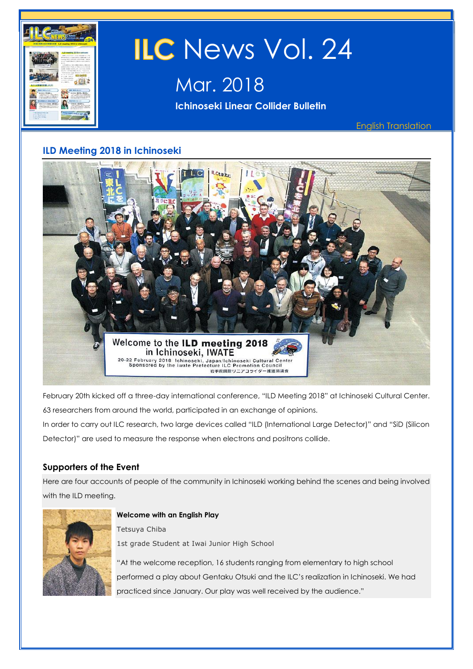

# **ILD Meeting 2018 in Ichinoseki**



February 20th kicked off a three-day international conference, "ILD Meeting 2018" at Ichinoseki Cultural Center. 63 researchers from around the world, participated in an exchange of opinions.

In order to carry out ILC research, two large devices called "ILD (International Large Detector)" and "SiD (Silicon Detector)" are used to measure the response when electrons and positrons collide.

## **Supporters of the Event**

Here are four accounts of people of the community in Ichinoseki working behind the scenes and being involved with the ILD meeting.



**Welcome with an English Play**

Tetsuya Chiba 1st grade Student at Iwai Junior High School

"At the welcome reception, 16 students ranging from elementary to high school performed a play about Gentaku Otsuki and the ILC's realization in Ichinoseki. We had practiced since January. Our play was well received by the audience."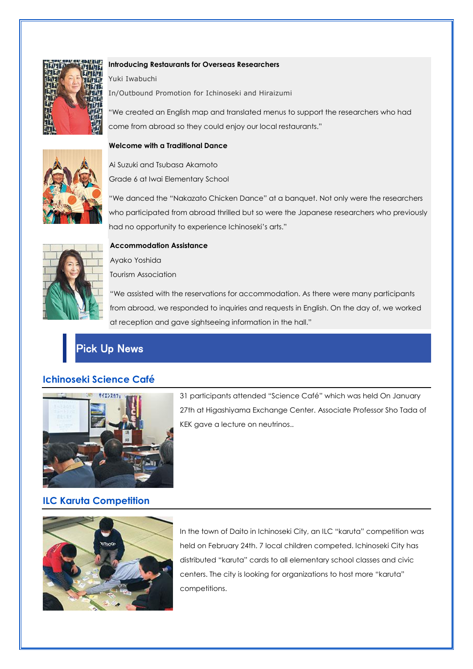

#### **Introducing Restaurants for Overseas Researchers**

Yuki Iwabuchi In/Outbound Promotion for Ichinoseki and Hiraizumi

"We created an English map and translated menus to support the researchers who had come from abroad so they could enjoy our local restaurants."

#### **Welcome with a Traditional Dance**



Grade 6 at Iwai Elementary School

Ai Suzuki and Tsubasa Akamoto

"We danced the "Nakazato Chicken Dance" at a banquet. Not only were the researchers who participated from abroad thrilled but so were the Japanese researchers who previously had no opportunity to experience Ichinoseki's arts."



#### **Accommodation Assistance**

Ayako Yoshida Tourism Association

"We assisted with the reservations for accommodation. As there were many participants from abroad, we responded to inquiries and requests in English. On the day of, we worked at reception and gave sightseeing information in the hall."



## **Ichinoseki Science Café**



31 participants attended "Science Café" which was held On January 27th at Higashiyama Exchange Center. Associate Professor Sho Tada of KEK gave a lecture on neutrinos..

## **ILC Karuta Competition**



In the town of Daito in Ichinoseki City, an ILC "karuta" competition was held on February 24th. 7 local children competed. Ichinoseki City has distributed "karuta" cards to all elementary school classes and civic centers. The city is looking for organizations to host more "karuta" competitions.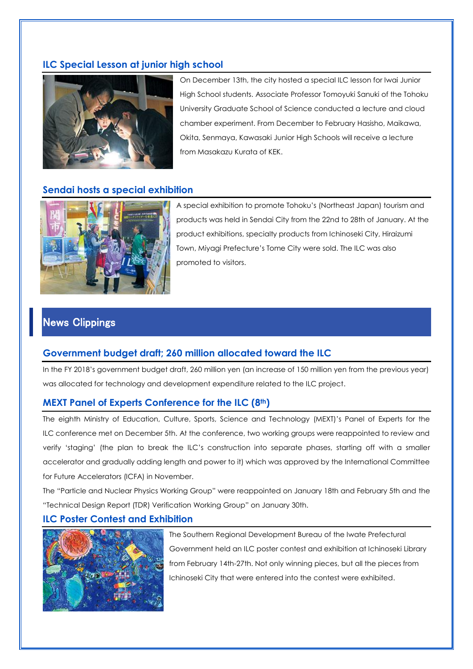## **ILC Special Lesson at junior high school**



On December 13th, the city hosted a special ILC lesson for Iwai Junior High School students. Associate Professor Tomoyuki Sanuki of the Tohoku University Graduate School of Science conducted a lecture and cloud chamber experiment. From December to February Hasisho, Maikawa, Okita, Senmaya, Kawasaki Junior High Schools will receive a lecture from Masakazu Kurata of KEK.

### **Sendai hosts a special exhibition**



A special exhibition to promote Tohoku's (Northeast Japan) tourism and products was held in Sendai City from the 22nd to 28th of January. At the product exhibitions, specialty products from Ichinoseki City, Hiraizumi Town, Miyagi Prefecture's Tome City were sold. The ILC was also promoted to visitors.

# News Clippings

#### **Government budget draft; 260 million allocated toward the ILC**

In the FY 2018's government budget draft, 260 million yen (an increase of 150 million yen from the previous year) was allocated for technology and development expenditure related to the ILC project.

#### **MEXT Panel of Experts Conference for the ILC (8th)**

The eighth Ministry of Education, Culture, Sports, Science and Technology (MEXT)'s Panel of Experts for the ILC conference met on December 5th. At the conference, two working groups were reappointed to review and verify 'staging' (the plan to break the ILC's construction into separate phases, starting off with a smaller accelerator and gradually adding length and power to it) which was approved by the International Committee for Future Accelerators (ICFA) in November.

The "Particle and Nuclear Physics Working Group" were reappointed on January 18th and February 5th and the "Technical Design Report (TDR) Verification Working Group" on January 30th.

### **ILC Poster Contest and Exhibition**



The Southern Regional Development Bureau of the Iwate Prefectural Government held an ILC poster contest and exhibition at Ichinoseki Library from February 14th-27th. Not only winning pieces, but all the pieces from Ichinoseki City that were entered into the contest were exhibited.